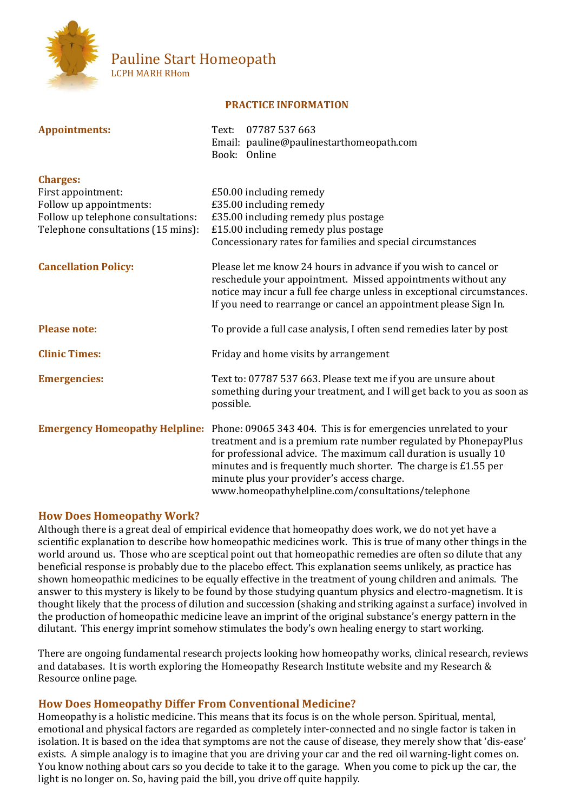

# Pauline Start Homeopath LCPH MARH RHom

# **PRACTICE INFORMATION**

| <b>Appointments:</b>                          | 07787 537 663<br>Text:<br>Email: pauline@paulinestarthomeopath.com<br>Book: Online                                                                                                                                                                                                                                                                                             |
|-----------------------------------------------|--------------------------------------------------------------------------------------------------------------------------------------------------------------------------------------------------------------------------------------------------------------------------------------------------------------------------------------------------------------------------------|
| <b>Charges:</b>                               |                                                                                                                                                                                                                                                                                                                                                                                |
| First appointment:<br>Follow up appointments: | £50.00 including remedy<br>£35.00 including remedy                                                                                                                                                                                                                                                                                                                             |
| Follow up telephone consultations:            | £35.00 including remedy plus postage                                                                                                                                                                                                                                                                                                                                           |
| Telephone consultations (15 mins):            | £15.00 including remedy plus postage                                                                                                                                                                                                                                                                                                                                           |
|                                               | Concessionary rates for families and special circumstances                                                                                                                                                                                                                                                                                                                     |
| <b>Cancellation Policy:</b>                   | Please let me know 24 hours in advance if you wish to cancel or<br>reschedule your appointment. Missed appointments without any<br>notice may incur a full fee charge unless in exceptional circumstances.<br>If you need to rearrange or cancel an appointment please Sign In.                                                                                                |
| <b>Please note:</b>                           | To provide a full case analysis, I often send remedies later by post                                                                                                                                                                                                                                                                                                           |
| <b>Clinic Times:</b>                          | Friday and home visits by arrangement                                                                                                                                                                                                                                                                                                                                          |
| <b>Emergencies:</b>                           | Text to: 07787 537 663. Please text me if you are unsure about<br>something during your treatment, and I will get back to you as soon as<br>possible.                                                                                                                                                                                                                          |
| <b>Emergency Homeopathy Helpline:</b>         | Phone: 09065 343 404. This is for emergencies unrelated to your<br>treatment and is a premium rate number regulated by PhonepayPlus<br>for professional advice. The maximum call duration is usually 10<br>minutes and is frequently much shorter. The charge is £1.55 per<br>minute plus your provider's access charge.<br>www.homeopathyhelpline.com/consultations/telephone |

# **How Does Homeopathy Work?**

Although there is a great deal of empirical evidence that homeopathy does work, we do not yet have a scientific explanation to describe how homeopathic medicines work. This is true of many other things in the world around us. Those who are sceptical point out that homeopathic remedies are often so dilute that any beneficial response is probably due to the placebo effect. This explanation seems unlikely, as practice has shown homeopathic medicines to be equally effective in the treatment of young children and animals. The answer to this mystery is likely to be found by those studying quantum physics and electro-magnetism. It is thought likely that the process of dilution and succession (shaking and striking against a surface) involved in the production of homeopathic medicine leave an imprint of the original substance's energy pattern in the dilutant. This energy imprint somehow stimulates the body's own healing energy to start working.

There are ongoing fundamental research projects looking how homeopathy works, clinical research, reviews and databases. It is worth exploring the Homeopathy Research Institute website and my Research & Resource online page.

## **How Does Homeopathy Differ From Conventional Medicine?**

Homeopathy is a holistic medicine. This means that its focus is on the whole person. Spiritual, mental, emotional and physical factors are regarded as completely inter-connected and no single factor is taken in isolation. It is based on the idea that symptoms are not the cause of disease, they merely show that 'dis-ease' exists. A simple analogy is to imagine that you are driving your car and the red oil warning-light comes on. You know nothing about cars so you decide to take it to the garage. When you come to pick up the car, the light is no longer on. So, having paid the bill, you drive off quite happily.